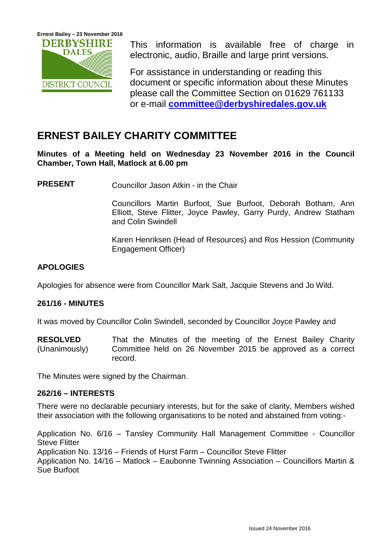

This information is available free of charge in electronic, audio, Braille and large print versions.

For assistance in understanding or reading this document or specific information about these Minutes please call the Committee Section on 01629 761133 or e-mail **[committee@derbyshiredales.gov.uk](mailto:committee@derbyshiredales.gov.uk)**

# **ERNEST BAILEY CHARITY COMMITTEE**

**Minutes of a Meeting held on Wednesday 23 November 2016 in the Council Chamber, Town Hall, Matlock at 6.00 pm**

**PRESENT** Councillor Jason Atkin - in the Chair

Councillors Martin Burfoot, Sue Burfoot, Deborah Botham, Ann Elliott, Steve Flitter, Joyce Pawley, Garry Purdy, Andrew Statham and Colin Swindell

Karen Henriksen (Head of Resources) and Ros Hession (Community Engagement Officer)

## **APOLOGIES**

Apologies for absence were from Councillor Mark Salt, Jacquie Stevens and Jo Wild.

### **261/16 - MINUTES**

It was moved by Councillor Colin Swindell, seconded by Councillor Joyce Pawley and

**RESOLVED** (Unanimously) That the Minutes of the meeting of the Ernest Bailey Charity Committee held on 26 November 2015 be approved as a correct record.

The Minutes were signed by the Chairman.

### **262/16 – INTERESTS**

There were no declarable pecuniary interests, but for the sake of clarity, Members wished their association with the following organisations to be noted and abstained from voting:-

Application No. 6/16 – Tansley Community Hall Management Committee - Councillor Steve Flitter Application No. 13/16 – Friends of Hurst Farm – Councillor Steve Flitter Application No. 14/16 – Matlock – Eaubonne Twinning Association – Councillors Martin & Sue Burfoot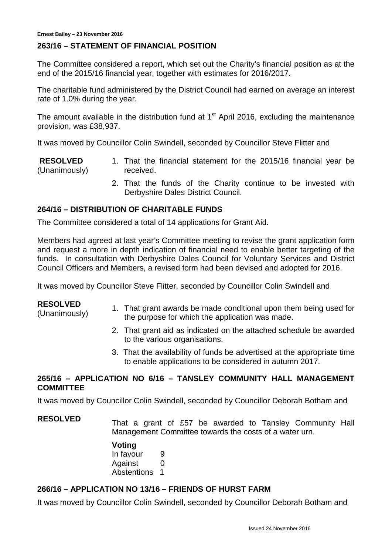#### **263/16 – STATEMENT OF FINANCIAL POSITION**

The Committee considered a report, which set out the Charity's financial position as at the end of the 2015/16 financial year, together with estimates for 2016/2017.

The charitable fund administered by the District Council had earned on average an interest rate of 1.0% during the year.

The amount available in the distribution fund at  $1<sup>st</sup>$  April 2016, excluding the maintenance provision, was £38,937.

It was moved by Councillor Colin Swindell, seconded by Councillor Steve Flitter and

**RESOLVED** (Unanimously) 1. That the financial statement for the 2015/16 financial year be received.

> 2. That the funds of the Charity continue to be invested with Derbyshire Dales District Council.

#### **264/16 – DISTRIBUTION OF CHARITABLE FUNDS**

The Committee considered a total of 14 applications for Grant Aid.

Members had agreed at last year's Committee meeting to revise the grant application form and request a more in depth indication of financial need to enable better targeting of the funds. In consultation with Derbyshire Dales Council for Voluntary Services and District Council Officers and Members, a revised form had been devised and adopted for 2016.

It was moved by Councillor Steve Flitter, seconded by Councillor Colin Swindell and

#### **RESOLVED**

- RESULVED<br>(Unanimously) 1. That grant awards be made conditional upon them being used for the purpose for which the application was made.
	- 2. That grant aid as indicated on the attached schedule be awarded to the various organisations.
	- 3. That the availability of funds be advertised at the appropriate time to enable applications to be considered in autumn 2017.

#### **265/16 – APPLICATION NO 6/16 – TANSLEY COMMUNITY HALL MANAGEMENT COMMITTEE**

It was moved by Councillor Colin Swindell, seconded by Councillor Deborah Botham and

**RESOLVED** That a grant of £57 be awarded to Tansley Community Hall Management Committee towards the costs of a water urn.

#### **Voting**

In favour 9 Against 0 Abstentions 1

### **266/16 – APPLICATION NO 13/16 – FRIENDS OF HURST FARM**

It was moved by Councillor Colin Swindell, seconded by Councillor Deborah Botham and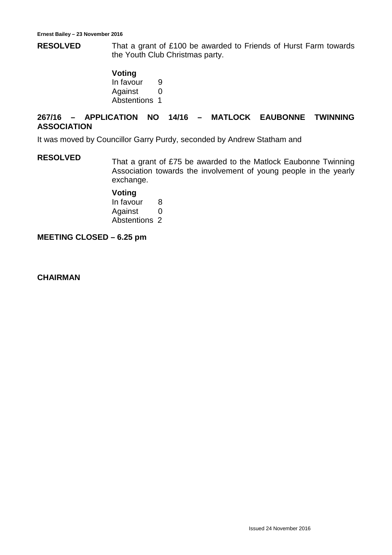**RESOLVED** That a grant of £100 be awarded to Friends of Hurst Farm towards the Youth Club Christmas party.

> **Voting** In favour 9 Against 0 Abstentions 1

### **267/16 – APPLICATION NO 14/16 – MATLOCK EAUBONNE TWINNING ASSOCIATION**

It was moved by Councillor Garry Purdy, seconded by Andrew Statham and

**RESOLVED** That a grant of £75 be awarded to the Matlock Eaubonne Twinning Association towards the involvement of young people in the yearly exchange.

#### **Voting**

In favour 8 Against 0 Abstentions 2

**MEETING CLOSED – 6.25 pm**

**CHAIRMAN**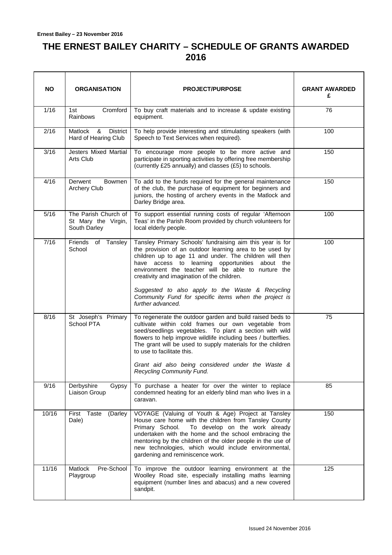## **THE ERNEST BAILEY CHARITY – SCHEDULE OF GRANTS AWARDED 2016**

| <b>NO</b> | <b>ORGANISATION</b>                                         | <b>PROJECT/PURPOSE</b>                                                                                                                                                                                                                                                                                                                                                                                                                                                     | <b>GRANT AWARDED</b><br>£ |
|-----------|-------------------------------------------------------------|----------------------------------------------------------------------------------------------------------------------------------------------------------------------------------------------------------------------------------------------------------------------------------------------------------------------------------------------------------------------------------------------------------------------------------------------------------------------------|---------------------------|
| 1/16      | Cromford<br>1st<br>Rainbows                                 | To buy craft materials and to increase & update existing<br>equipment.                                                                                                                                                                                                                                                                                                                                                                                                     | 76                        |
| 2/16      | Matlock<br>&<br><b>District</b><br>Hard of Hearing Club     | To help provide interesting and stimulating speakers (with<br>Speech to Text Services when required).                                                                                                                                                                                                                                                                                                                                                                      | 100                       |
| 3/16      | <b>Jesters Mixed Martial</b><br>Arts Club                   | To encourage more people to be more active and<br>participate in sporting activities by offering free membership<br>(currently £25 annually) and classes (£5) to schools.                                                                                                                                                                                                                                                                                                  | 150                       |
| 4/16      | Derwent<br>Bowmen<br><b>Archery Club</b>                    | To add to the funds required for the general maintenance<br>of the club, the purchase of equipment for beginners and<br>juniors, the hosting of archery events in the Matlock and<br>Darley Bridge area.                                                                                                                                                                                                                                                                   | 150                       |
| 5/16      | The Parish Church of<br>St Mary the Virgin,<br>South Darley | To support essential running costs of regular 'Afternoon<br>Teas' in the Parish Room provided by church volunteers for<br>local elderly people.                                                                                                                                                                                                                                                                                                                            | 100                       |
| 7/16      | Friends of Tansley<br>School                                | Tansley Primary Schools' fundraising aim this year is for<br>the provision of an outdoor learning area to be used by<br>children up to age 11 and under. The children will then<br>have access to learning opportunities about the<br>environment the teacher will be able to nurture the<br>creativity and imagination of the children.<br>Suggested to also apply to the Waste & Recycling<br>Community Fund for specific items when the project is<br>further advanced. | 100                       |
| 8/16      | St Joseph's Primary<br>School PTA                           | To regenerate the outdoor garden and build raised beds to<br>cultivate within cold frames our own vegetable from<br>seed/seedlings vegetables. To plant a section with wild<br>flowers to help improve wildlife including bees / butterflies.<br>The grant will be used to supply materials for the children<br>to use to facilitate this.<br>Grant aid also being considered under the Waste &<br>Recycling Community Fund.                                               | 75                        |
| 9/16      | Derbyshire<br>Gypsy<br>Liaison Group                        | To purchase a heater for over the winter to replace<br>condemned heating for an elderly blind man who lives in a<br>caravan.                                                                                                                                                                                                                                                                                                                                               | 85                        |
| 10/16     | Taste<br>First<br>(Darley<br>Dale)                          | VOYAGE (Valuing of Youth & Age) Project at Tansley<br>House care home with the children from Tansley County<br>Primary School.<br>To develop on the work already<br>undertaken with the home and the school embracing the<br>mentoring by the children of the older people in the use of<br>new technologies, which would include environmental,<br>gardening and reminiscence work.                                                                                       | 150                       |
| 11/16     | Matlock<br>Pre-School<br>Playgroup                          | To improve the outdoor learning environment at the<br>Woolley Road site, especially installing maths learning<br>equipment (number lines and abacus) and a new covered<br>sandpit.                                                                                                                                                                                                                                                                                         | 125                       |